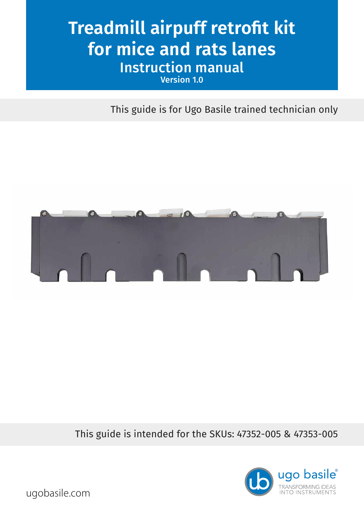# **Treadmill airpuff retrofit kit for mice and rats lanes** Instruction manual Version 1.0

This guide is for Ugo Basile trained technician only



This guide is intended for the SKUs: 47352-005 & 47353-005



ugobasile.com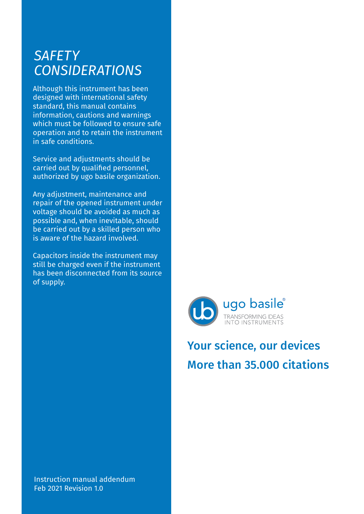### *SAFETY CONSIDERATIONS*

Although this instrument has been designed with international safety standard, this manual contains information, cautions and warnings which must be followed to ensure safe operation and to retain the instrument in safe conditions.

Service and adjustments should be carried out by qualified personnel, authorized by ugo basile organization.

Any adjustment, maintenance and repair of the opened instrument under voltage should be avoided as much as possible and, when inevitable, should be carried out by a skilled person who is aware of the hazard involved.

Capacitors inside the instrument may still be charged even if the instrument has been disconnected from its source of supply.



## Your science, our devices More than 35.000 citations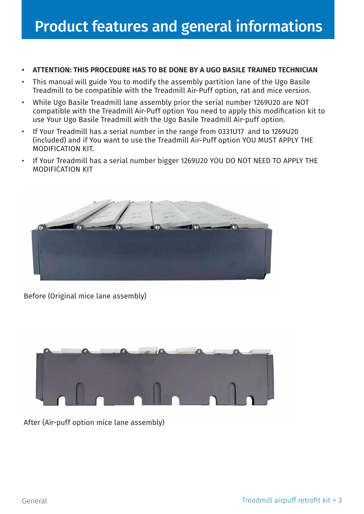- **• ATTENTION: THIS PROCEDURE HAS TO BE DONE BY A UGO BASILE TRAINED TECHNICIAN**
- This manual will guide You to modify the assembly partition lane of the Ugo Basile Treadmill to be compatible with the Treadmill Air-Puff option, rat and mice version.
- While Ugo Basile Treadmill lane assembly prior the serial number 1269U20 are NOT compatible with the Treadmill Air-Puff option You need to apply this modification kit to use Your Ugo Basile Treadmill with the Ugo Basile Treadmill Air-puff option.
- If Your Treadmill has a serial number in the range from 0331U17 and to 1269U20 (included) and if You want to use the Treadmill Air-Puff option YOU MUST APPLY THE MODIFICATION KIT.
- If Your Treadmill has a serial number bigger 1269U20 YOU DO NOT NEED TO APPLY THE MODIFICATION KIT



Before (Original mice lane assembly)



After (Air-puff option mice lane assembly)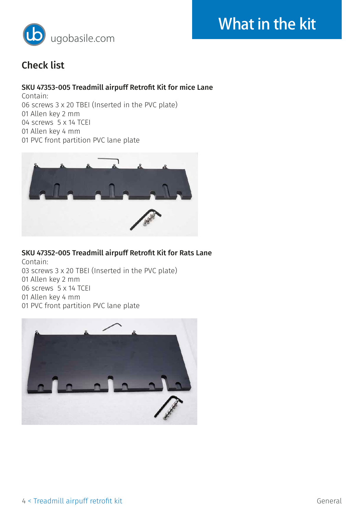



### Check list

#### SKU 47353-005 Treadmill airpuff Retrofit Kit for mice Lane

Contain: 06 screws 3 x 20 TBEI (Inserted in the PVC plate) 01 Allen key 2 mm 04 screws 5 x 14 TCEI 01 Allen key 4 mm 01 PVC front partition PVC lane plate



#### SKU 47352-005 Treadmill airpuff Retrofit Kit for Rats Lane

Contain: 03 screws 3 x 20 TBEI (Inserted in the PVC plate) 01 Allen key 2 mm 06 screws 5 x 14 TCEI 01 Allen key 4 mm 01 PVC front partition PVC lane plate

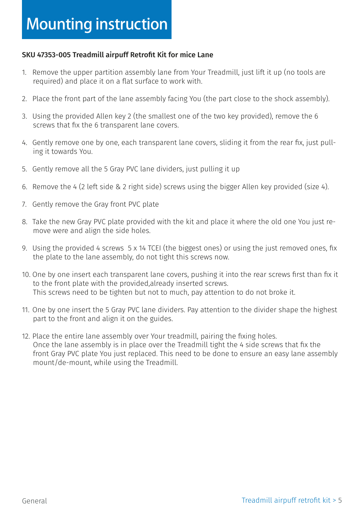#### SKU 47353-005 Treadmill airpuff Retrofit Kit for mice Lane

- 1. Remove the upper partition assembly lane from Your Treadmill, just lift it up (no tools are required) and place it on a flat surface to work with.
- 2. Place the front part of the lane assembly facing You (the part close to the shock assembly).
- 3. Using the provided Allen key 2 (the smallest one of the two key provided), remove the 6 screws that fix the 6 transparent lane covers.
- 4. Gently remove one by one, each transparent lane covers, sliding it from the rear fix, just pulling it towards You.
- 5. Gently remove all the 5 Gray PVC lane dividers, just pulling it up
- 6. Remove the 4 (2 left side & 2 right side) screws using the bigger Allen key provided (size 4).
- 7. Gently remove the Gray front PVC plate
- 8. Take the new Gray PVC plate provided with the kit and place it where the old one You just remove were and align the side holes.
- 9. Using the provided 4 screws 5 x 14 TCEI (the biggest ones) or using the just removed ones, fix the plate to the lane assembly, do not tight this screws now.
- 10. One by one insert each transparent lane covers, pushing it into the rear screws first than fix it to the front plate with the provided,already inserted screws. This screws need to be tighten but not to much, pay attention to do not broke it.
- 11. One by one insert the 5 Gray PVC lane dividers. Pay attention to the divider shape the highest part to the front and align it on the guides.
- 12. Place the entire lane assembly over Your treadmill, pairing the fixing holes. Once the lane assembly is in place over the Treadmill tight the 4 side screws that fix the front Gray PVC plate You just replaced. This need to be done to ensure an easy lane assembly mount/de-mount, while using the Treadmill.